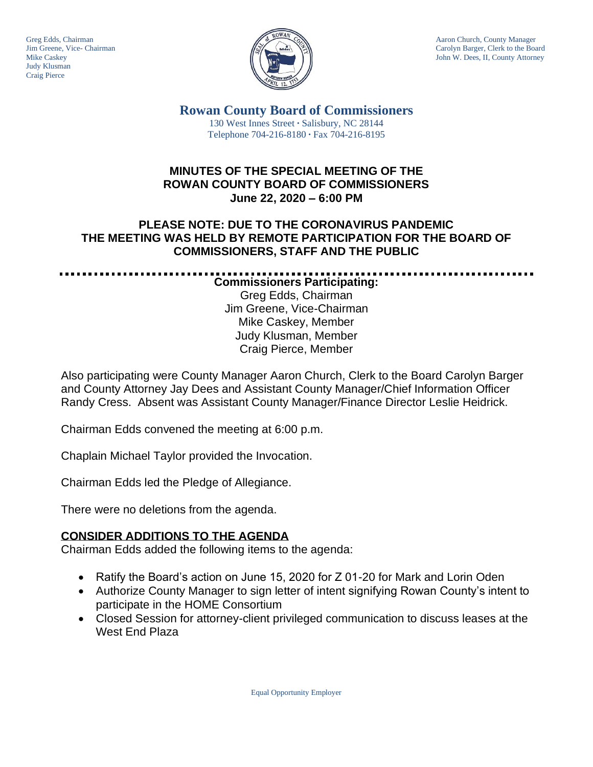Judy Klusman Craig Pierce



Greg Edds, Chairman Aaron Church, County Manager<br>Jim Greene, Vice- Chairman Aaron Church, County Manager and Aaron Church, County Manager and Aaron Church, County Manager Jim Greene, Vice- Chairman Carolyn Barger, Clerk to the Board Carolyn Barger, Clerk to the Board Carolyn Barger, Clerk to the Board Iohn W. Dees, II, County Attorney John W. Dees, II, County Attorney

> **Rowan County Board of Commissioners** 130 West Innes Street **∙** Salisbury, NC 28144 Telephone 704-216-8180 **∙** Fax 704-216-8195

# **MINUTES OF THE SPECIAL MEETING OF THE ROWAN COUNTY BOARD OF COMMISSIONERS June 22, 2020 – 6:00 PM**

# **PLEASE NOTE: DUE TO THE CORONAVIRUS PANDEMIC THE MEETING WAS HELD BY REMOTE PARTICIPATION FOR THE BOARD OF COMMISSIONERS, STAFF AND THE PUBLIC**

**Commissioners Participating:** Greg Edds, Chairman Jim Greene, Vice-Chairman Mike Caskey, Member Judy Klusman, Member Craig Pierce, Member

Also participating were County Manager Aaron Church, Clerk to the Board Carolyn Barger and County Attorney Jay Dees and Assistant County Manager/Chief Information Officer Randy Cress. Absent was Assistant County Manager/Finance Director Leslie Heidrick.

Chairman Edds convened the meeting at 6:00 p.m.

Chaplain Michael Taylor provided the Invocation.

Chairman Edds led the Pledge of Allegiance.

There were no deletions from the agenda.

# **CONSIDER ADDITIONS TO THE AGENDA**

Chairman Edds added the following items to the agenda:

- Ratify the Board's action on June 15, 2020 for Z 01-20 for Mark and Lorin Oden
- Authorize County Manager to sign letter of intent signifying Rowan County's intent to participate in the HOME Consortium
- Closed Session for attorney-client privileged communication to discuss leases at the West End Plaza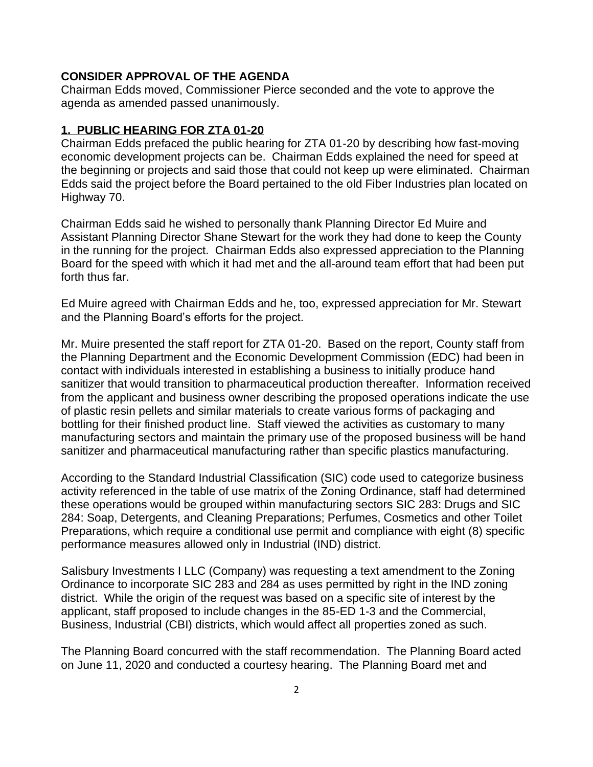#### **CONSIDER APPROVAL OF THE AGENDA**

Chairman Edds moved, Commissioner Pierce seconded and the vote to approve the agenda as amended passed unanimously.

#### **1. PUBLIC HEARING FOR ZTA 01-20**

Chairman Edds prefaced the public hearing for ZTA 01-20 by describing how fast-moving economic development projects can be. Chairman Edds explained the need for speed at the beginning or projects and said those that could not keep up were eliminated. Chairman Edds said the project before the Board pertained to the old Fiber Industries plan located on Highway 70.

Chairman Edds said he wished to personally thank Planning Director Ed Muire and Assistant Planning Director Shane Stewart for the work they had done to keep the County in the running for the project. Chairman Edds also expressed appreciation to the Planning Board for the speed with which it had met and the all-around team effort that had been put forth thus far.

Ed Muire agreed with Chairman Edds and he, too, expressed appreciation for Mr. Stewart and the Planning Board's efforts for the project.

Mr. Muire presented the staff report for ZTA 01-20. Based on the report, County staff from the Planning Department and the Economic Development Commission (EDC) had been in contact with individuals interested in establishing a business to initially produce hand sanitizer that would transition to pharmaceutical production thereafter. Information received from the applicant and business owner describing the proposed operations indicate the use of plastic resin pellets and similar materials to create various forms of packaging and bottling for their finished product line. Staff viewed the activities as customary to many manufacturing sectors and maintain the primary use of the proposed business will be hand sanitizer and pharmaceutical manufacturing rather than specific plastics manufacturing.

According to the Standard Industrial Classification (SIC) code used to categorize business activity referenced in the table of use matrix of the Zoning Ordinance, staff had determined these operations would be grouped within manufacturing sectors SIC 283: Drugs and SIC 284: Soap, Detergents, and Cleaning Preparations; Perfumes, Cosmetics and other Toilet Preparations, which require a conditional use permit and compliance with eight (8) specific performance measures allowed only in Industrial (IND) district.

Salisbury Investments I LLC (Company) was requesting a text amendment to the Zoning Ordinance to incorporate SIC 283 and 284 as uses permitted by right in the IND zoning district. While the origin of the request was based on a specific site of interest by the applicant, staff proposed to include changes in the 85-ED 1-3 and the Commercial, Business, Industrial (CBI) districts, which would affect all properties zoned as such.

The Planning Board concurred with the staff recommendation. The Planning Board acted on June 11, 2020 and conducted a courtesy hearing. The Planning Board met and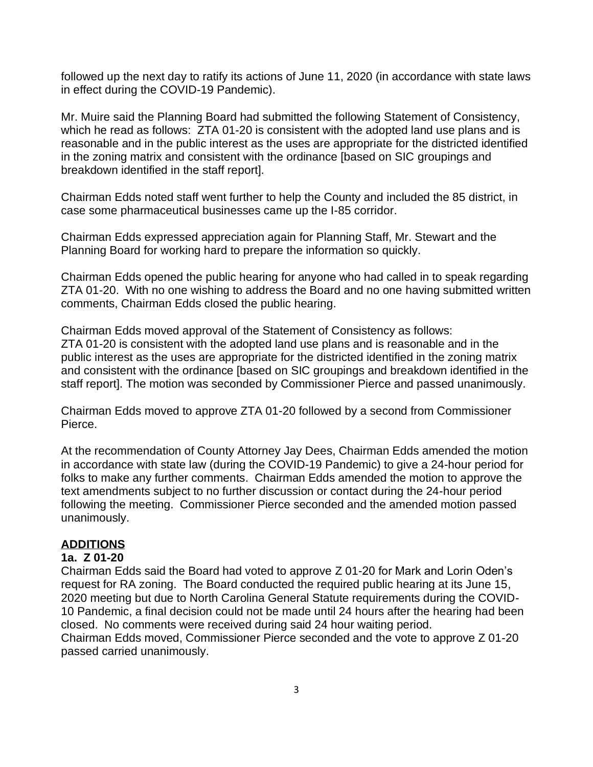followed up the next day to ratify its actions of June 11, 2020 (in accordance with state laws in effect during the COVID-19 Pandemic).

Mr. Muire said the Planning Board had submitted the following Statement of Consistency, which he read as follows: ZTA 01-20 is consistent with the adopted land use plans and is reasonable and in the public interest as the uses are appropriate for the districted identified in the zoning matrix and consistent with the ordinance [based on SIC groupings and breakdown identified in the staff report].

Chairman Edds noted staff went further to help the County and included the 85 district, in case some pharmaceutical businesses came up the I-85 corridor.

Chairman Edds expressed appreciation again for Planning Staff, Mr. Stewart and the Planning Board for working hard to prepare the information so quickly.

Chairman Edds opened the public hearing for anyone who had called in to speak regarding ZTA 01-20. With no one wishing to address the Board and no one having submitted written comments, Chairman Edds closed the public hearing.

Chairman Edds moved approval of the Statement of Consistency as follows: ZTA 01-20 is consistent with the adopted land use plans and is reasonable and in the public interest as the uses are appropriate for the districted identified in the zoning matrix and consistent with the ordinance [based on SIC groupings and breakdown identified in the staff report]. The motion was seconded by Commissioner Pierce and passed unanimously.

Chairman Edds moved to approve ZTA 01-20 followed by a second from Commissioner Pierce.

At the recommendation of County Attorney Jay Dees, Chairman Edds amended the motion in accordance with state law (during the COVID-19 Pandemic) to give a 24-hour period for folks to make any further comments. Chairman Edds amended the motion to approve the text amendments subject to no further discussion or contact during the 24-hour period following the meeting. Commissioner Pierce seconded and the amended motion passed unanimously.

### **ADDITIONS**

### **1a. Z 01-20**

Chairman Edds said the Board had voted to approve Z 01-20 for Mark and Lorin Oden's request for RA zoning. The Board conducted the required public hearing at its June 15, 2020 meeting but due to North Carolina General Statute requirements during the COVID-10 Pandemic, a final decision could not be made until 24 hours after the hearing had been closed. No comments were received during said 24 hour waiting period. Chairman Edds moved, Commissioner Pierce seconded and the vote to approve Z 01-20 passed carried unanimously.